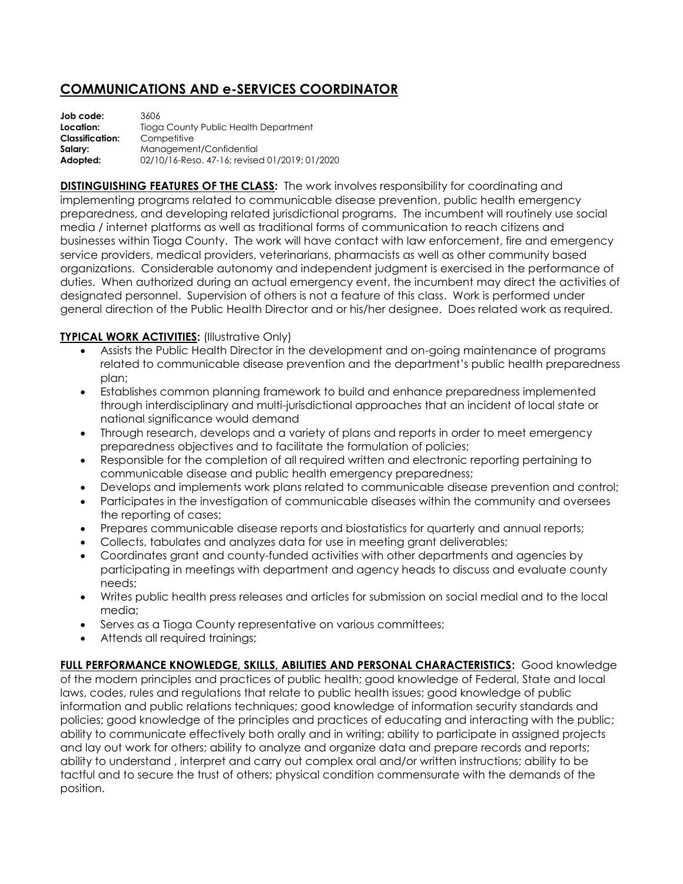## **COMMUNICATIONS AND e-SERVICES COORDINATOR**

| Job code:              | 3606                                           |
|------------------------|------------------------------------------------|
| Location:              | Tioga County Public Health Department          |
| <b>Classification:</b> | Competitive                                    |
| Salary:                | Management/Confidential                        |
| Adopted:               | 02/10/16-Reso, 47-16; revised 01/2019; 01/2020 |

**DISTINGUISHING FEATURES OF THE CLASS:** The work involves responsibility for coordinating and implementing programs related to communicable disease prevention, public health emergency preparedness, and developing related jurisdictional programs. The incumbent will routinely use social media / internet platforms as well as traditional forms of communication to reach citizens and businesses within Tioga County. The work will have contact with law enforcement, fire and emergency service providers, medical providers, veterinarians, pharmacists as well as other community based organizations. Considerable autonomy and independent judgment is exercised in the performance of duties. When authorized during an actual emergency event, the incumbent may direct the activities of designated personnel. Supervision of others is not a feature of this class. Work is performed under general direction of the Public Health Director and or his/her designee. Does related work as required.

## **TYPICAL WORK ACTIVITIES: (Illustrative Only)**

- Assists the Public Health Director in the development and on-going maintenance of programs related to communicable disease prevention and the department's public health preparedness plan;
- Establishes common planning framework to build and enhance preparedness implemented through interdisciplinary and multi-jurisdictional approaches that an incident of local state or national significance would demand
- Through research, develops and a variety of plans and reports in order to meet emergency preparedness objectives and to facilitate the formulation of policies;
- Responsible for the completion of all required written and electronic reporting pertaining to communicable disease and public health emergency preparedness;
- Develops and implements work plans related to communicable disease prevention and control;
- Participates in the investigation of communicable diseases within the community and oversees the reporting of cases;
- Prepares communicable disease reports and biostatistics for quarterly and annual reports;
- Collects, tabulates and analyzes data for use in meeting grant deliverables;
- Coordinates grant and county-funded activities with other departments and agencies by participating in meetings with department and agency heads to discuss and evaluate county needs;
- Writes public health press releases and articles for submission on social medial and to the local media;
- Serves as a Tioga County representative on various committees;
- Attends all required trainings;

**FULL PERFORMANCE KNOWLEDGE, SKILLS, ABILITIES AND PERSONAL CHARACTERISTICS:** Good knowledge of the modern principles and practices of public health; good knowledge of Federal, State and local laws, codes, rules and regulations that relate to public health issues; good knowledge of public information and public relations techniques; good knowledge of information security standards and policies; good knowledge of the principles and practices of educating and interacting with the public; ability to communicate effectively both orally and in writing; ability to participate in assigned projects and lay out work for others; ability to analyze and organize data and prepare records and reports; ability to understand , interpret and carry out complex oral and/or written instructions; ability to be tactful and to secure the trust of others; physical condition commensurate with the demands of the position.